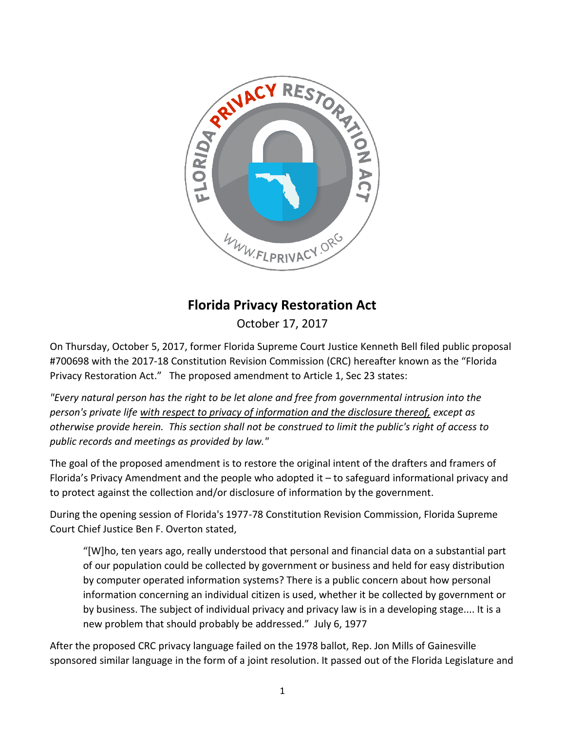

## **Florida Privacy Restoration Act**

October 17, 2017

On Thursday, October 5, 2017, former Florida Supreme Court Justice Kenneth Bell filed public proposal #700698 with the 2017-18 Constitution Revision Commission (CRC) hereafter known as the "Florida Privacy Restoration Act." The proposed amendment to Article 1, Sec 23 states:

*"Every natural person has the right to be let alone and free from governmental intrusion into the person's private life with respect to privacy of information and the disclosure thereof, except as otherwise provide herein. This section shall not be construed to limit the public's right of access to public records and meetings as provided by law."*

The goal of the proposed amendment is to restore the original intent of the drafters and framers of Florida's Privacy Amendment and the people who adopted it – to safeguard informational privacy and to protect against the collection and/or disclosure of information by the government.

During the opening session of Florida's 1977-78 Constitution Revision Commission, Florida Supreme Court Chief Justice Ben F. Overton stated,

"[W]ho, ten years ago, really understood that personal and financial data on a substantial part of our population could be collected by government or business and held for easy distribution by computer operated information systems? There is a public concern about how personal information concerning an individual citizen is used, whether it be collected by government or by business. The subject of individual privacy and privacy law is in a developing stage.... It is a new problem that should probably be addressed." July 6, 1977

After the proposed CRC privacy language failed on the 1978 ballot, Rep. Jon Mills of Gainesville sponsored similar language in the form of a joint resolution. It passed out of the Florida Legislature and